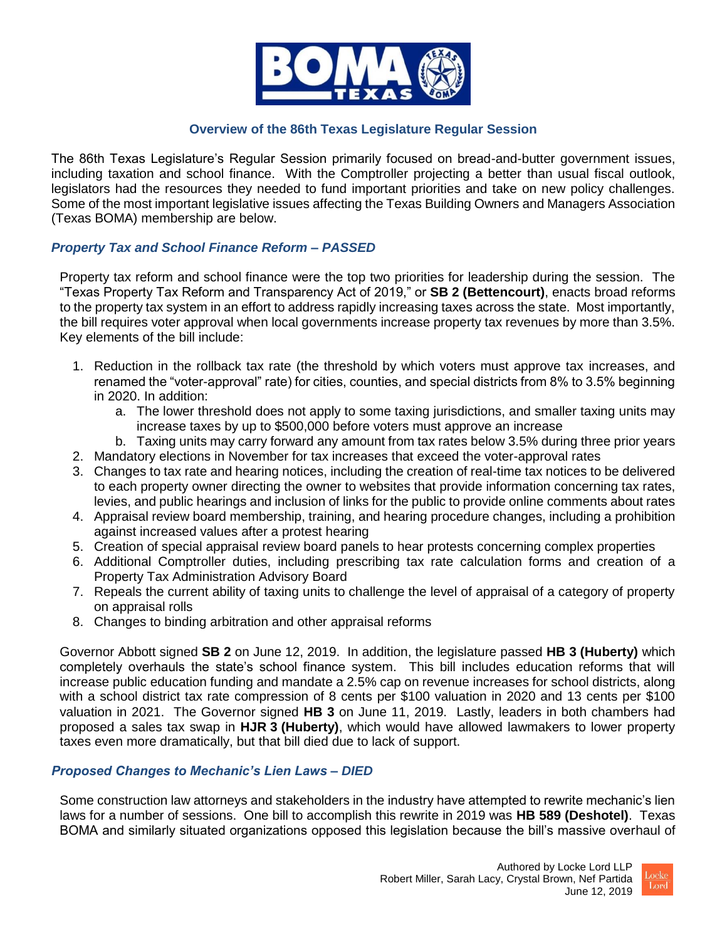

### **Overview of the 86th Texas Legislature Regular Session**

The 86th Texas Legislature's Regular Session primarily focused on bread-and-butter government issues, including taxation and school finance. With the Comptroller projecting a better than usual fiscal outlook, legislators had the resources they needed to fund important priorities and take on new policy challenges. Some of the most important legislative issues affecting the Texas Building Owners and Managers Association (Texas BOMA) membership are below.

# *Property Tax and School Finance Reform – PASSED*

Property tax reform and school finance were the top two priorities for leadership during the session. The "Texas Property Tax Reform and Transparency Act of 2019," or **SB 2 (Bettencourt)**, enacts broad reforms to the property tax system in an effort to address rapidly increasing taxes across the state. Most importantly, the bill requires voter approval when local governments increase property tax revenues by more than 3.5%. Key elements of the bill include:

- 1. Reduction in the rollback tax rate (the threshold by which voters must approve tax increases, and renamed the "voter-approval" rate) for cities, counties, and special districts from 8% to 3.5% beginning in 2020. In addition:
	- a. The lower threshold does not apply to some taxing jurisdictions, and smaller taxing units may increase taxes by up to \$500,000 before voters must approve an increase
	- b. Taxing units may carry forward any amount from tax rates below 3.5% during three prior years
- 2. Mandatory elections in November for tax increases that exceed the voter-approval rates
- 3. Changes to tax rate and hearing notices, including the creation of real-time tax notices to be delivered to each property owner directing the owner to websites that provide information concerning tax rates, levies, and public hearings and inclusion of links for the public to provide online comments about rates
- 4. Appraisal review board membership, training, and hearing procedure changes, including a prohibition against increased values after a protest hearing
- 5. Creation of special appraisal review board panels to hear protests concerning complex properties
- 6. Additional Comptroller duties, including prescribing tax rate calculation forms and creation of a Property Tax Administration Advisory Board
- 7. Repeals the current ability of taxing units to challenge the level of appraisal of a category of property on appraisal rolls
- 8. Changes to binding arbitration and other appraisal reforms

Governor Abbott signed **SB 2** on June 12, 2019. In addition, the legislature passed **HB 3 (Huberty)** which completely overhauls the state's school finance system. This bill includes education reforms that will increase public education funding and mandate a 2.5% cap on revenue increases for school districts, along with a school district tax rate compression of 8 cents per \$100 valuation in 2020 and 13 cents per \$100 valuation in 2021. The Governor signed **HB 3** on June 11, 2019. Lastly, leaders in both chambers had proposed a sales tax swap in **HJR 3 (Huberty)**, which would have allowed lawmakers to lower property taxes even more dramatically, but that bill died due to lack of support.

# *Proposed Changes to Mechanic's Lien Laws – DIED*

Some construction law attorneys and stakeholders in the industry have attempted to rewrite mechanic's lien laws for a number of sessions. One bill to accomplish this rewrite in 2019 was **HB 589 (Deshotel)**. Texas BOMA and similarly situated organizations opposed this legislation because the bill's massive overhaul of